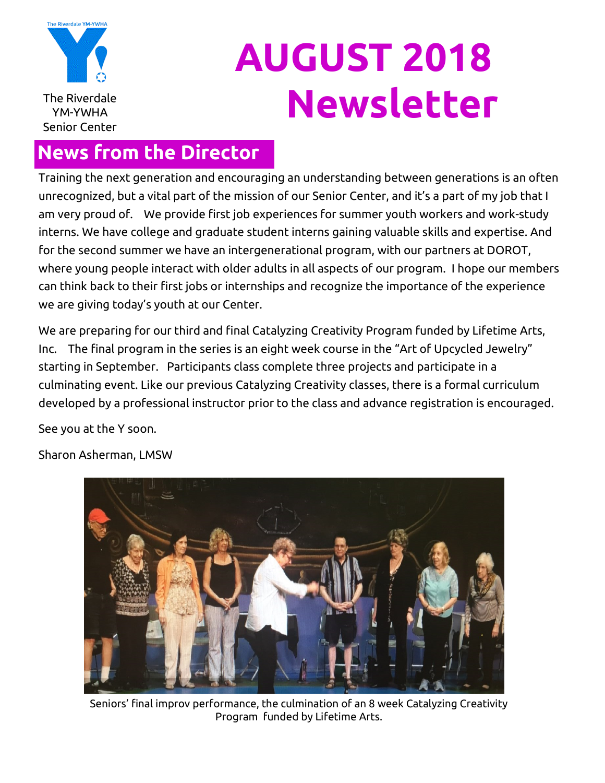

# **AUGUST 2018** The Riverdale **Newsletter**

### **News from the Director**

Training the next generation and encouraging an understanding between generations is an often unrecognized, but a vital part of the mission of our Senior Center, and it's a part of my job that I am very proud of. We provide first job experiences for summer youth workers and work-study interns. We have college and graduate student interns gaining valuable skills and expertise. And for the second summer we have an intergenerational program, with our partners at DOROT, where young people interact with older adults in all aspects of our program. I hope our members can think back to their first jobs or internships and recognize the importance of the experience we are giving today's youth at our Center.

We are preparing for our third and final Catalyzing Creativity Program funded by Lifetime Arts, Inc. The final program in the series is an eight week course in the "Art of Upcycled Jewelry" starting in September. Participants class complete three projects and participate in a culminating event. Like our previous Catalyzing Creativity classes, there is a formal curriculum developed by a professional instructor prior to the class and advance registration is encouraged.

See you at the Y soon.

Sharon Asherman, LMSW



Seniors' final improv performance, the culmination of an 8 week Catalyzing Creativity Program funded by Lifetime Arts.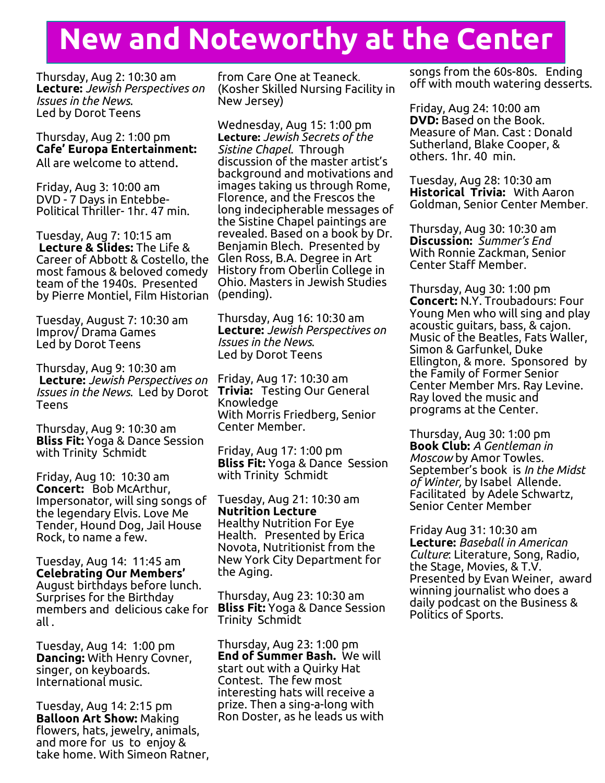# **New and Noteworthy at the Center**

Thursday, Aug 2: 10:30 am **Lecture:** *Jewish Perspectives on Issues in the News*. Led by Dorot Teens

Thursday, Aug 2: 1:00 pm **Cafe' Europa Entertainment:** All are welcome to attend.

Friday, Aug 3: 10:00 am DVD - 7 Days in Entebbe-Political Thriller- 1hr. 47 min.

Tuesday, Aug 7: 10:15 am **Lecture & Slides:** The Life & Career of Abbott & Costello, the most famous & beloved comedy team of the 1940s. Presented by Pierre Montiel, Film Historian

Tuesday, August 7: 10:30 am Improv/ Drama Games Led by Dorot Teens

Thursday, Aug 9: 10:30 am **Lecture:** *Jewish Perspectives on Issues in the News*. Led by Dorot Teens

Thursday, Aug 9: 10:30 am **Bliss Fit:** Yoga & Dance Session with Trinity Schmidt

Friday, Aug 10: 10:30 am **Concert:** Bob McArthur, Impersonator, will sing songs of the legendary Elvis. Love Me Tender, Hound Dog, Jail House Rock, to name a few.

Tuesday, Aug 14: 11:45 am **Celebrating Our Members'**  August birthdays before lunch. Surprises for the Birthday members and delicious cake for all .

Tuesday, Aug 14: 1:00 pm **Dancing:** With Henry Covner, singer, on keyboards. International music.

Tuesday, Aug 14: 2:15 pm **Balloon Art Show:** Making flowers, hats, jewelry, animals, and more for us to enjoy & take home. With Simeon Ratner, from Care One at Teaneck. (Kosher Skilled Nursing Facility in New Jersey)

Wednesday, Aug 15: 1:00 pm **Lecture:** *Jewish Secrets of the Sistine Chapel*. Through discussion of the master artist's background and motivations and images taking us through Rome, Florence, and the Frescos the long indecipherable messages of the Sistine Chapel paintings are revealed. Based on a book by Dr. Benjamin Blech. Presented by Glen Ross, B.A. Degree in Art History from Oberlin College in Ohio. Masters in Jewish Studies (pending).

Thursday, Aug 16: 10:30 am **Lecture:** *Jewish Perspectives on Issues in the News*. Led by Dorot Teens

Friday, Aug 17: 10:30 am **Trivia:** Testing Our General Knowledge With Morris Friedberg, Senior Center Member.

Friday, Aug 17: 1:00 pm **Bliss Fit:** Yoga & Dance Session with Trinity Schmidt

Tuesday, Aug 21: 10:30 am **Nutrition Lecture** Healthy Nutrition For Eye Health. Presented by Erica Novota, Nutritionist from the New York City Department for the Aging.

Thursday, Aug 23: 10:30 am **Bliss Fit:** Yoga & Dance Session Trinity Schmidt

Thursday, Aug 23: 1:00 pm **End of Summer Bash.** We will start out with a Quirky Hat Contest. The few most interesting hats will receive a prize. Then a sing-a-long with Ron Doster, as he leads us with songs from the 60s-80s. Ending off with mouth watering desserts.

Friday, Aug 24: 10:00 am **DVD:** Based on the Book. Measure of Man. Cast : Donald Sutherland, Blake Cooper, & others. 1hr. 40 min.

Tuesday, Aug 28: 10:30 am **Historical Trivia:** With Aaron Goldman, Senior Center Member.

Thursday, Aug 30: 10:30 am **Discussion:** *Summer's End* With Ronnie Zackman, Senior Center Staff Member.

Thursday, Aug 30: 1:00 pm **Concert:** N.Y. Troubadours: Four Young Men who will sing and play acoustic guitars, bass, & cajon. Music of the Beatles, Fats Waller, Simon & Garfunkel, Duke Ellington, & more. Sponsored by the Family of Former Senior Center Member Mrs. Ray Levine. Ray loved the music and programs at the Center.

Thursday, Aug 30: 1:00 pm **Book Club:** *A Gentleman in Moscow* by Amor Towles. September's book is *In the Midst of Winter,* by Isabel Allende. Facilitated by Adele Schwartz, Senior Center Member

Friday Aug 31: 10:30 am **Lecture:** *Baseball in American Culture*: Literature, Song, Radio, the Stage, Movies, & T.V. Presented by Evan Weiner, award winning journalist who does a daily podcast on the Business & Politics of Sports.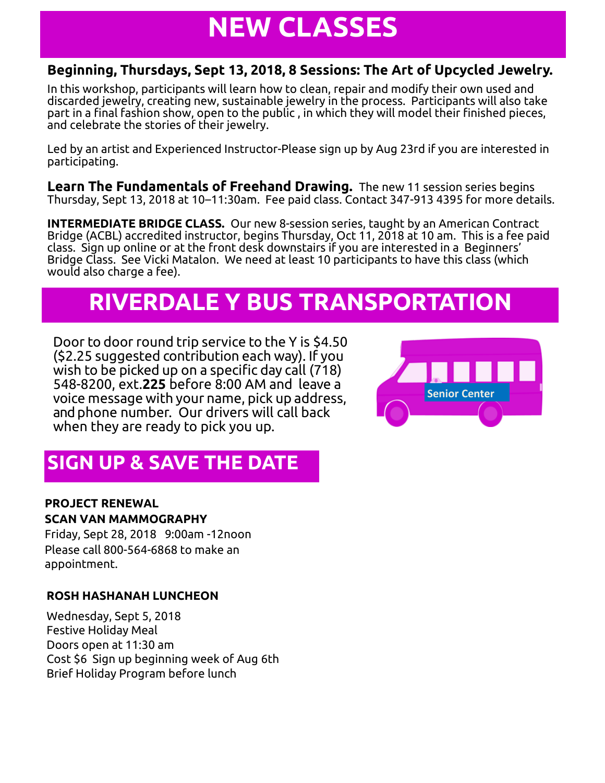# **NEW CLASSES**

#### **Beginning, Thursdays, Sept 13, 2018, 8 Sessions: The Art of Upcycled Jewelry.**

In this workshop, participants will learn how to clean, repair and modify their own used and discarded jewelry, creating new, sustainable jewelry in the process. Participants will also take part in a final fashion show, open to the public , in which they will model their finished pieces, and celebrate the stories of their jewelry.

Led by an artist and Experienced Instructor-Please sign up by Aug 23rd if you are interested in participating.

**Learn The Fundamentals of Freehand Drawing.** The new 11 session series begins Thursday, Sept 13, 2018 at 10–11:30am. Fee paid class. Contact 347-913 4395 for more details.

**INTERMEDIATE BRIDGE CLASS.** Our new 8-session series, taught by an American Contract Bridge (ACBL) accredited instructor, begins Thursday, Oct 11, 2018 at 10 am. This is a fee paid class. Sign up online or at the front desk downstairs if you are interested in a Beginners' Bridge Class. See Vicki Matalon. We need at least 10 participants to have this class (which would also charge a fee).

# **RIVERDALE Y BUS TRANSPORTATION**

Door to door round trip service to the Y is \$4.50 (\$2.25 suggested contribution each way). If you wish to be picked up on a specific day call (718) 548-8200, ext.**225** before 8:00 AM and leave a voice message with your name, pick up address, and phone number. Our drivers will call back when they are ready to pick you up.



### **SIGN UP & SAVE THE DATE**

#### **PROJECT RENEWAL SCAN VAN MAMMOGRAPHY**

Friday, Sept 28, 2018 9:00am -12noon Please call 800-564-6868 to make an appointment.

#### **ROSH HASHANAH LUNCHEON**

Wednesday, Sept 5, 2018 Festive Holiday Meal Doors open at 11:30 am Cost \$6 Sign up beginning week of Aug 6th Brief Holiday Program before lunch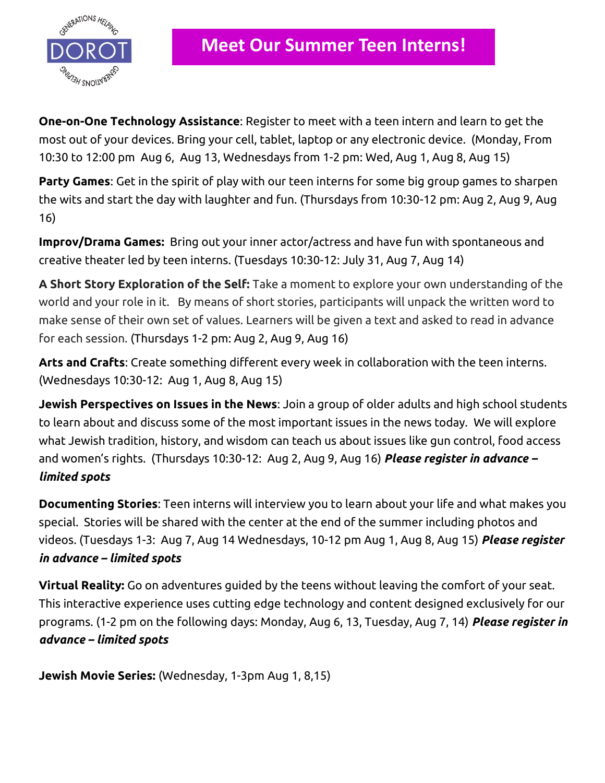

**One-on-One Technology Assistance**: Register to meet with a teen intern and learn to get the most out of your devices. Bring your cell, tablet, laptop or any electronic device. (Monday, From 10:30 to 12:00 pm Aug 6, Aug 13, Wednesdays from 1-2 pm: Wed, Aug 1, Aug 8, Aug 15)

**Party Games**: Get in the spirit of play with our teen interns for some big group games to sharpen the wits and start the day with laughter and fun. (Thursdays from 10:30-12 pm: Aug 2, Aug 9, Aug 16)

**Improv/Drama Games:** Bring out your inner actor/actress and have fun with spontaneous and creative theater led by teen interns. (Tuesdays 10:30-12: July 31, Aug 7, Aug 14)

**A Short Story Exploration of the Self:** Take a moment to explore your own understanding of the world and your role in it. By means of short stories, participants will unpack the written word to make sense of their own set of values. Learners will be given a text and asked to read in advance for each session. (Thursdays 1-2 pm: Aug 2, Aug 9, Aug 16)

**Arts and Crafts**: Create something different every week in collaboration with the teen interns. (Wednesdays 10:30-12: Aug 1, Aug 8, Aug 15)

**Jewish Perspectives on Issues in the News**: Join a group of older adults and high school students to learn about and discuss some of the most important issues in the news today. We will explore what Jewish tradition, history, and wisdom can teach us about issues like gun control, food access and women's rights. (Thursdays 10:30-12: Aug 2, Aug 9, Aug 16) *Please register in advance – limited spots*

**Documenting Stories**: Teen interns will interview you to learn about your life and what makes you special. Stories will be shared with the center at the end of the summer including photos and videos. (Tuesdays 1-3: Aug 7, Aug 14 Wednesdays, 10-12 pm Aug 1, Aug 8, Aug 15) *Please register in advance – limited spots*

**Virtual Reality:** Go on adventures guided by the teens without leaving the comfort of your seat. This interactive experience uses cutting edge technology and content designed exclusively for our programs. (1-2 pm on the following days: Monday, Aug 6, 13, Tuesday, Aug 7, 14) *Please register in advance – limited spots*

**Jewish Movie Series:** (Wednesday, 1-3pm Aug 1, 8,15)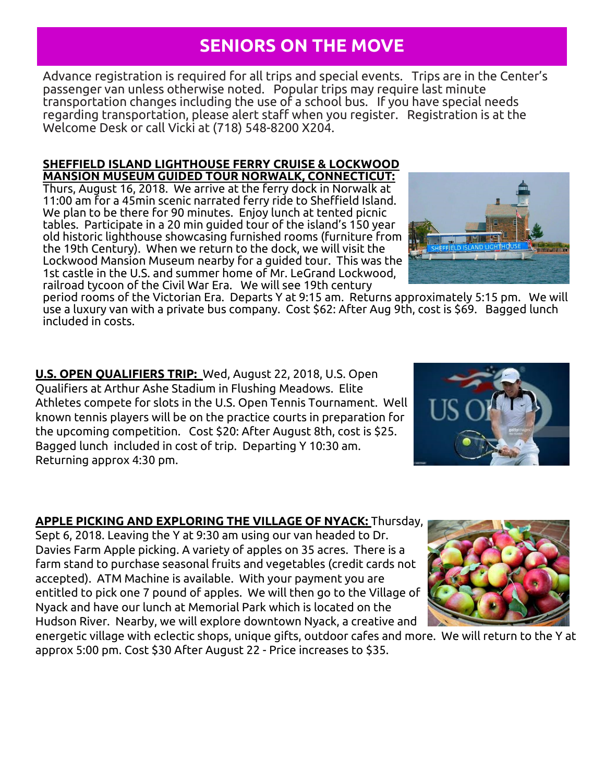### **SENIORS ON THE MOVE**

Advance registration is required for all trips and special events. Trips are in the Center's passenger van unless otherwise noted. Popular trips may require last minute transportation changes including the use of a school bus. If you have special needs regarding transportation, please alert staff when you register. Registration is at the Welcome Desk or call Vicki at (718) 548-8200 X204.

#### **SHEFFIELD ISLAND LIGHTHOUSE FERRY CRUISE & LOCKWOOD MANSION MUSEUM GUIDED TOUR NORWALK, CONNECTICUT:**

Thurs, August 16, 2018. We arrive at the ferry dock in Norwalk at 11:00 am for a 45min scenic narrated ferry ride to Sheffield Island. We plan to be there for 90 minutes. Enjoy lunch at tented picnic tables. Participate in a 20 min guided tour of the island's 150 year old historic lighthouse showcasing furnished rooms (furniture from the 19th Century). When we return to the dock, we will visit the Lockwood Mansion Museum nearby for a guided tour. This was the 1st castle in the U.S. and summer home of Mr. LeGrand Lockwood, railroad tycoon of the Civil War Era. We will see 19th century

period rooms of the Victorian Era. Departs Y at 9:15 am. Returns approximately 5:15 pm. We will use a luxury van with a private bus company. Cost \$62: After Aug 9th, cost is \$69. Bagged lunch included in costs.

**U.S. OPEN QUALIFIERS TRIP:** Wed, August 22, 2018, U.S. Open Qualifiers at Arthur Ashe Stadium in Flushing Meadows. Elite Athletes compete for slots in the U.S. Open Tennis Tournament. Well known tennis players will be on the practice courts in preparation for the upcoming competition. Cost \$20: After August 8th, cost is \$25. Bagged lunch included in cost of trip. Departing Y 10:30 am. Returning approx 4:30 pm.

#### **APPLE PICKING AND EXPLORING THE VILLAGE OF NYACK:** Thursday,

Sept 6, 2018. Leaving the Y at 9:30 am using our van headed to Dr. Davies Farm Apple picking. A variety of apples on 35 acres. There is a farm stand to purchase seasonal fruits and vegetables (credit cards not accepted). ATM Machine is available. With your payment you are entitled to pick one 7 pound of apples. We will then go to the Village of Nyack and have our lunch at Memorial Park which is located on the Hudson River. Nearby, we will explore downtown Nyack, a creative and

energetic village with eclectic shops, unique gifts, outdoor cafes and more. We will return to the Y at approx 5:00 pm. Cost \$30 After August 22 - Price increases to \$35.





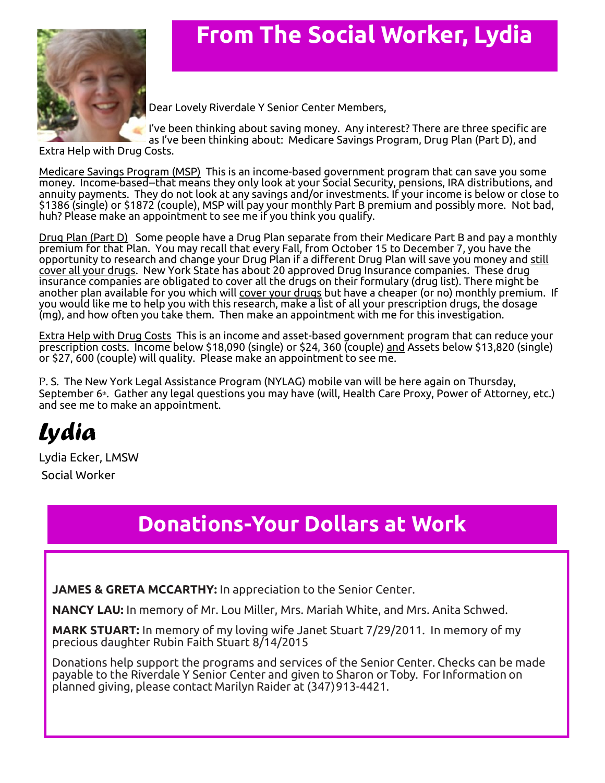

## **From The Social Worker, Lydia**

Dear Lovely Riverdale Y Senior Center Members,

I've been thinking about saving money. Any interest? There are three specific are as I've been thinking about: Medicare Savings Program, Drug Plan (Part D), and

Extra Help with Drug Costs.

Medicare Savings Program (MSP) This is an income-based government program that can save you some money. Income-based--that means they only look at your Social Security, pensions, IRA distributions, and annuity payments. They do not look at any savings and/or investments. If your income is below or close to \$1386 (single) or \$1872 (couple), MSP will pay your monthly Part B premium and possibly more. Not bad, huh? Please make an appointment to see me if you think you qualify.

Drug Plan (Part D) Some people have a Drug Plan separate from their Medicare Part B and pay a monthly premium for that Plan. You may recall that every Fall, from October 15 to December 7, you have the opportunity to research and change your Drug Plan if a different Drug Plan will save you money and still cover all your drugs. New York State has about 20 approved Drug Insurance companies. These drug insurance companies are obligated to cover all the drugs on their formulary (drug list). There might be another plan available for you which will cover your drugs but have a cheaper (or no) monthly premium. If you would like me to help you with this research, make a list of all your prescription drugs, the dosage (mg), and how often you take them. Then make an appointment with me for this investigation.

Extra Help with Drug Costs This is an income and asset-based government program that can reduce your prescription costs. Income below \$18,090 (single) or \$24, 360 (couple) and Assets below \$13,820 (single) or \$27, 600 (couple) will quality. Please make an appointment to see me.

P. S. The New York Legal Assistance Program (NYLAG) mobile van will be here again on Thursday, September 6ª. Gather any legal questions you may have (will, Health Care Proxy, Power of Attorney, etc.) and see me to make an appointment.

# *Lydia*

Lydia Ecker, LMSW Social Worker

## **Donations-Your Dollars at Work**

**JAMES & GRETA MCCARTHY:** In appreciation to the Senior Center.

**NANCY LAU:** In memory of Mr. Lou Miller, Mrs. Mariah White, and Mrs. Anita Schwed.

**MARK STUART:** In memory of my loving wife Janet Stuart 7/29/2011. In memory of my precious daughter Rubin Faith Stuart 8/14/2015

Donations help support the programs and services of the Senior Center. Checks can be made payable to the Riverdale Y Senior Center and given to Sharon or Toby. ForInformation on planned giving, please contact Marilyn Raider at (347)913-4421.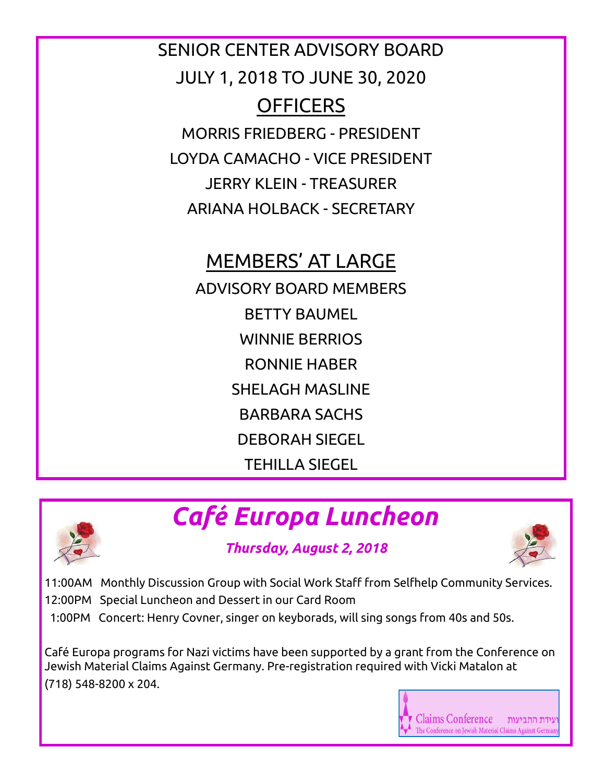SENIOR CENTER ADVISORY BOARD JULY 1, 2018 TO JUNE 30, 2020 **OFFICERS** MORRIS FRIEDBERG - PRESIDENT LOYDA CAMACHO - VICE PRESIDENT JERRY KLEIN - TREASURER ARIANA HOLBACK - SECRETARY

## MEMBERS' AT LARGE

ADVISORY BOARD MEMBERS BETTY BAUMEL WINNIE BERRIOS RONNIE HABER SHELAGH MASLINE BARBARA SACHS DEBORAH SIEGEL TEHILLA SIEGEL



# *Café Europa Luncheon*

#### *Thursday, August 2, 2018*



11:00AM Monthly Discussion Group with Social Work Staff from Selfhelp Community Services.

- 12:00PM Special Luncheon and Dessert in our Card Room
- 1:00PM Concert: Henry Covner, singer on keyborads, will sing songs from 40s and 50s.

Café Europa programs for Nazi victims have been supported by a grant from the Conference on Jewish Material Claims Against Germany. Pre-registration required with Vicki Matalon at (718) 548-8200 x 204.

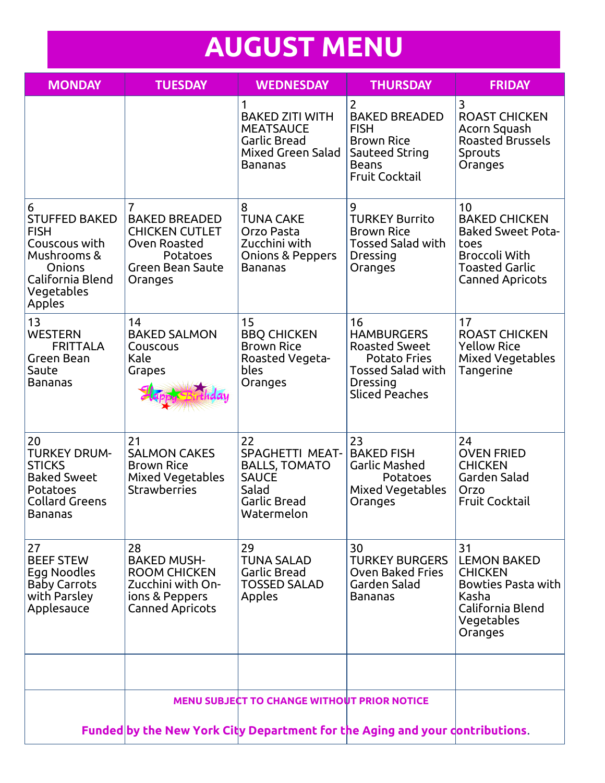# **AUGUST MENU**

| <b>MONDAY</b>                                                                                                                  | <b>TUESDAY</b>                                                                                                                    | <b>WEDNESDAY</b>                                                                                            | <b>THURSDAY</b>                                                                                                                         | <b>FRIDAY</b>                                                                                                                             |  |
|--------------------------------------------------------------------------------------------------------------------------------|-----------------------------------------------------------------------------------------------------------------------------------|-------------------------------------------------------------------------------------------------------------|-----------------------------------------------------------------------------------------------------------------------------------------|-------------------------------------------------------------------------------------------------------------------------------------------|--|
|                                                                                                                                |                                                                                                                                   | 1<br><b>BAKED ZITI WITH</b><br><b>MEATSAUCE</b><br><b>Garlic Bread</b><br>Mixed Green Salad<br>Bananas      | 2<br><b>BAKED BREADED</b><br><b>FISH</b><br><b>Brown Rice</b><br>Sauteed String<br><b>Beans</b><br><b>Fruit Cocktail</b>                | 3<br><b>ROAST CHICKEN</b><br>Acorn Squash<br><b>Roasted Brussels</b><br>Sprouts<br>Oranges                                                |  |
| 6<br><b>STUFFED BAKED</b><br><b>FISH</b><br>Couscous with<br>Mushrooms &<br>Onions<br>California Blend<br>Vegetables<br>Apples | $\overline{7}$<br><b>BAKED BREADED</b><br><b>CHICKEN CUTLET</b><br>Oven Roasted<br>Potatoes<br><b>Green Bean Saute</b><br>Oranges | 8<br><b>TUNA CAKE</b><br>Orzo Pasta<br>Zucchini with<br>Onions & Peppers<br>Bananas                         | 9<br><b>TURKEY Burrito</b><br><b>Brown Rice</b><br><b>Tossed Salad with</b><br>Dressing<br>Oranges                                      | 10<br><b>BAKED CHICKEN</b><br><b>Baked Sweet Pota-</b><br>toes<br><b>Broccoli With</b><br><b>Toasted Garlic</b><br><b>Canned Apricots</b> |  |
| 13<br><b>WESTERN</b><br><b>FRITTALA</b><br>Green Bean<br>Saute<br>Bananas                                                      | 14<br><b>BAKED SALMON</b><br>Couscous<br>Kale<br>Grapes                                                                           | 15<br><b>BBQ CHICKEN</b><br><b>Brown Rice</b><br>Roasted Vegeta-<br>bles<br>Oranges                         | 16<br><b>HAMBURGERS</b><br><b>Roasted Sweet</b><br><b>Potato Fries</b><br><b>Tossed Salad with</b><br>Dressing<br><b>Sliced Peaches</b> | 17<br><b>ROAST CHICKEN</b><br><b>Yellow Rice</b><br>Mixed Vegetables<br>Tangerine                                                         |  |
| 20<br><b>TURKEY DRUM-</b><br><b>STICKS</b><br><b>Baked Sweet</b><br>Potatoes<br><b>Collard Greens</b><br>Bananas               | 21<br><b>SALMON CAKES</b><br><b>Brown Rice</b><br><b>Mixed Vegetables</b><br><b>Strawberries</b>                                  | 22<br><b>SPAGHETTI MEAT-</b><br><b>BALLS, TOMATO</b><br><b>SAUCE</b><br>Salad<br>Garlic Bread<br>Watermelon | 23<br><b>BAKED FISH</b><br>Garlic Mashed<br>Potatoes<br>Mixed Vegetables<br>Oranges                                                     | 24<br><b>OVEN FRIED</b><br><b>CHICKEN</b><br>Garden Salad<br>Orzo<br><b>Fruit Cocktail</b>                                                |  |
| 27<br><b>BEEF STEW</b><br>Egg Noodles<br><b>Baby Carrots</b><br>with Parsley<br>Applesauce                                     | 28<br><b>BAKED MUSH-</b><br><b>ROOM CHICKEN</b><br>Zucchini with On-<br>ions & Peppers<br><b>Canned Apricots</b>                  | 29<br><b>TUNA SALAD</b><br>Garlic Bread<br><b>TOSSED SALAD</b><br>Apples                                    | 30<br><b>TURKEY BURGERS</b><br><b>Oven Baked Fries</b><br>Garden Salad<br><b>Bananas</b>                                                | 31<br><b>LEMON BAKED</b><br><b>CHICKEN</b><br>Bowties Pasta with<br>Kasha<br>California Blend<br>Vegetables<br>Oranges                    |  |
|                                                                                                                                |                                                                                                                                   |                                                                                                             |                                                                                                                                         |                                                                                                                                           |  |
|                                                                                                                                |                                                                                                                                   | <b>MENU SUBJECT TO CHANGE WITHOUT PRIOR NOTICE</b>                                                          |                                                                                                                                         |                                                                                                                                           |  |
| Funded by the New York City Department for the Aging and your dontributions.                                                   |                                                                                                                                   |                                                                                                             |                                                                                                                                         |                                                                                                                                           |  |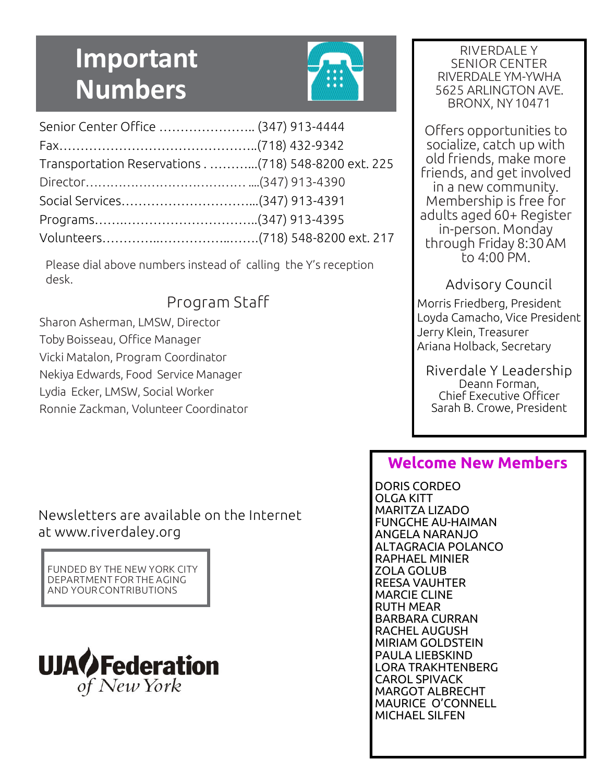# **Important Numbers**



| Senior Center Office  (347) 913-4444 |  |
|--------------------------------------|--|
|                                      |  |
|                                      |  |
|                                      |  |
| Social Services(347) 913-4391        |  |
|                                      |  |
|                                      |  |

Please dial above numbers instead of calling the Y's reception desk.

#### Program Staff

Sharon Asherman, LMSW, Director Toby Boisseau, Office Manager Vicki Matalon, Program Coordinator Nekiya Edwards, Food Service Manager Lydia Ecker, LMSW, Social Worker Ronnie Zackman, Volunteer Coordinator

#### Newsletters are available on the Internet at www.riverdaley.org

FUNDED BY THE NEW YORK CITY DEPARTMENT FOR THE AGING AND YOURCONTRIBUTIONS



RIVERDALE Y SENIOR CENTER RIVERDALE YM-YWHA 5625 ARLINGTON AVE. BRONX, NY10471

Offers opportunities to socialize, catch up with old friends, make more friends, and get involved in a new community. Membership is free for adults aged 60+ Register in-person. Monday through Friday 8:30AM to 4:00 PM.

#### Advisory Council

Morris Friedberg, President Loyda Camacho, Vice President Jerry Klein, Treasurer Ariana Holback, Secretary

Riverdale Y Leadership Deann Forman, Chief Executive Officer Sarah B. Crowe, President

#### **Welcome New Members**

DORIS CORDEO OLGA KITT MARITZA LIZADO FUNGCHE AU-HAIMAN ANGELA NARANJO ALTAGRACIA POLANCO RAPHAEL MINIER ZOLA GOLUB REESA VAUHTER MARCIE CLINE RUTH MEAR BARBARA CURRAN RACHEL AUGUSH MIRIAM GOLDSTEIN PAULA LIEBSKIND LORA TRAKHTENBERG CAROL SPIVACK MARGOT ALBRECHT MAURICE O'CONNELL MICHAEL SILFEN